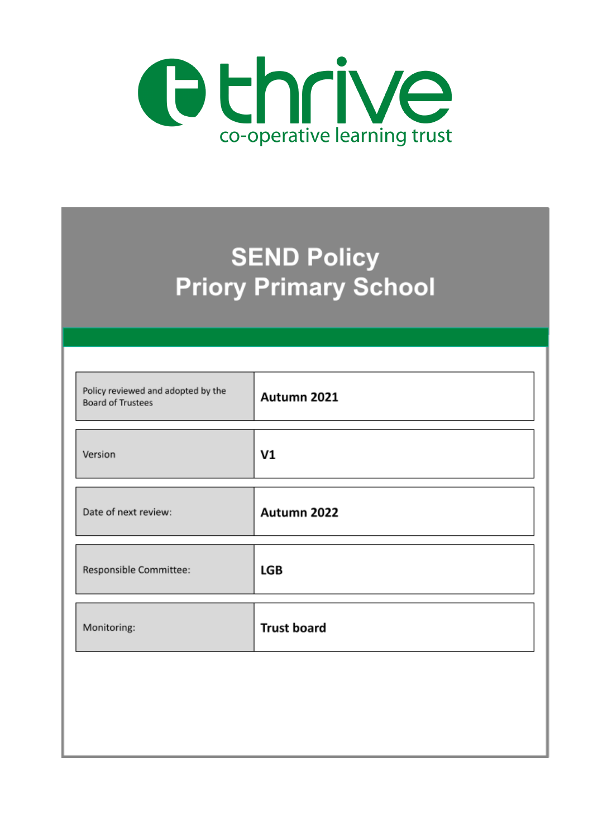

# **SEND Policy Priory Primary School**

| Policy reviewed and adopted by the<br><b>Board of Trustees</b> | Autumn 2021        |
|----------------------------------------------------------------|--------------------|
| Version                                                        | V1                 |
| Date of next review:                                           | Autumn 2022        |
| Responsible Committee:                                         | LGB                |
| Monitoring:                                                    | <b>Trust board</b> |
|                                                                |                    |
|                                                                |                    |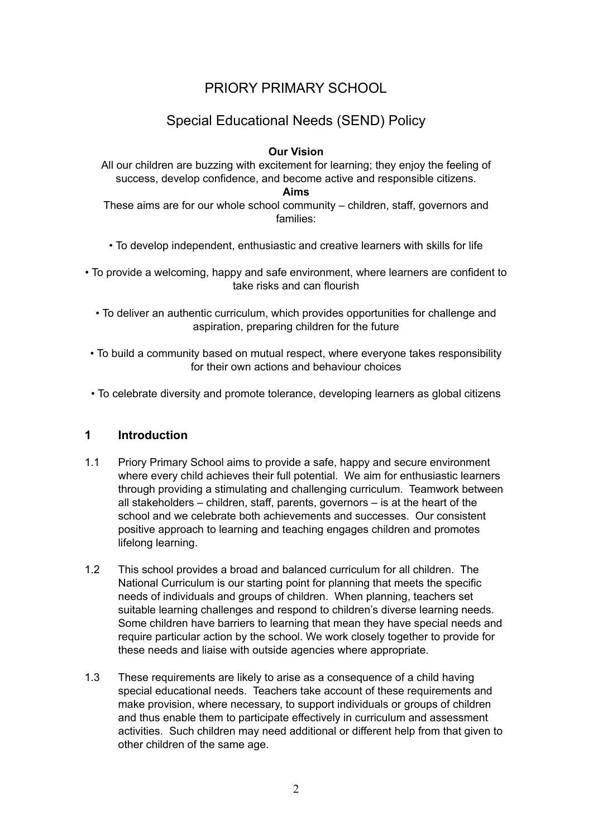# PRIORY PRIMARY SCHOOL

# Special Educational Needs (SEND) Policy

#### **Our Vision**

All our children are buzzing with excitement for learning; they enjoy the feeling of success, develop confidence, and become active and responsible citizens.

**Aims**

These aims are for our whole school community – children, staff, governors and families:

- To develop independent, enthusiastic and creative learners with skills for life
- To provide a welcoming, happy and safe environment, where learners are confident to take risks and can flourish
	- To deliver an authentic curriculum, which provides opportunities for challenge and aspiration, preparing children for the future
- To build a community based on mutual respect, where everyone takes responsibility for their own actions and behaviour choices
- To celebrate diversity and promote tolerance, developing learners as global citizens

#### **1 Introduction**

- 1.1 Priory Primary School aims to provide a safe, happy and secure environment where every child achieves their full potential. We aim for enthusiastic learners through providing a stimulating and challenging curriculum. Teamwork between all stakeholders – children, staff, parents, governors – is at the heart of the school and we celebrate both achievements and successes. Our consistent positive approach to learning and teaching engages children and promotes lifelong learning.
- 1.2 This school provides a broad and balanced curriculum for all children. The National Curriculum is our starting point for planning that meets the specific needs of individuals and groups of children. When planning, teachers set suitable learning challenges and respond to children's diverse learning needs. Some children have barriers to learning that mean they have special needs and require particular action by the school. We work closely together to provide for these needs and liaise with outside agencies where appropriate.
- 1.3 These requirements are likely to arise as a consequence of a child having special educational needs. Teachers take account of these requirements and make provision, where necessary, to support individuals or groups of children and thus enable them to participate effectively in curriculum and assessment activities. Such children may need additional or different help from that given to other children of the same age.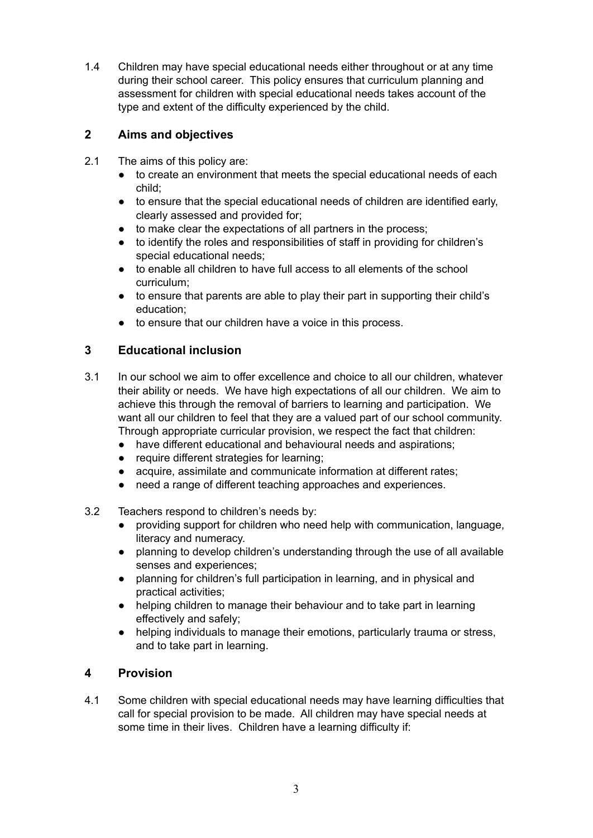1.4 Children may have special educational needs either throughout or at any time during their school career. This policy ensures that curriculum planning and assessment for children with special educational needs takes account of the type and extent of the difficulty experienced by the child.

## **2 Aims and objectives**

- 2.1 The aims of this policy are:
	- to create an environment that meets the special educational needs of each child;
	- to ensure that the special educational needs of children are identified early, clearly assessed and provided for;
	- to make clear the expectations of all partners in the process;
	- to identify the roles and responsibilities of staff in providing for children's special educational needs;
	- to enable all children to have full access to all elements of the school curriculum;
	- to ensure that parents are able to play their part in supporting their child's education;
	- to ensure that our children have a voice in this process.

## **3 Educational inclusion**

- 3.1 In our school we aim to offer excellence and choice to all our children, whatever their ability or needs. We have high expectations of all our children. We aim to achieve this through the removal of barriers to learning and participation. We want all our children to feel that they are a valued part of our school community. Through appropriate curricular provision, we respect the fact that children:
	- have different educational and behavioural needs and aspirations;
	- require different strategies for learning;
	- acquire, assimilate and communicate information at different rates;
	- need a range of different teaching approaches and experiences.
- 3.2 Teachers respond to children's needs by:
	- providing support for children who need help with communication, language, literacy and numeracy.
	- planning to develop children's understanding through the use of all available senses and experiences;
	- planning for children's full participation in learning, and in physical and practical activities;
	- helping children to manage their behaviour and to take part in learning effectively and safely;
	- helping individuals to manage their emotions, particularly trauma or stress, and to take part in learning.

#### **4 Provision**

4.1 Some children with special educational needs may have learning difficulties that call for special provision to be made. All children may have special needs at some time in their lives. Children have a learning difficulty if: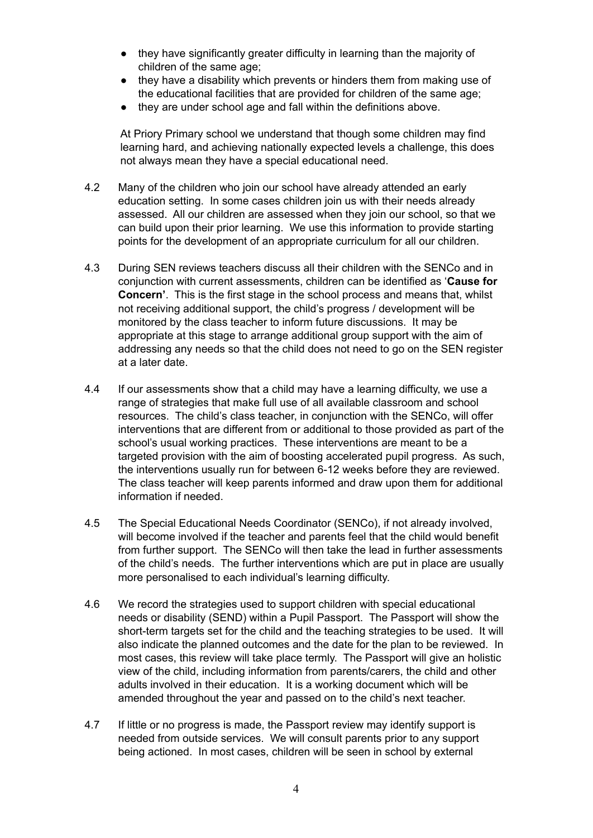- they have significantly greater difficulty in learning than the majority of children of the same age;
- they have a disability which prevents or hinders them from making use of the educational facilities that are provided for children of the same age;
- they are under school age and fall within the definitions above.

At Priory Primary school we understand that though some children may find learning hard, and achieving nationally expected levels a challenge, this does not always mean they have a special educational need.

- 4.2 Many of the children who join our school have already attended an early education setting. In some cases children join us with their needs already assessed. All our children are assessed when they join our school, so that we can build upon their prior learning. We use this information to provide starting points for the development of an appropriate curriculum for all our children.
- 4.3 During SEN reviews teachers discuss all their children with the SENCo and in conjunction with current assessments, children can be identified as '**Cause for Concern'**. This is the first stage in the school process and means that, whilst not receiving additional support, the child's progress / development will be monitored by the class teacher to inform future discussions. It may be appropriate at this stage to arrange additional group support with the aim of addressing any needs so that the child does not need to go on the SEN register at a later date.
- 4.4 If our assessments show that a child may have a learning difficulty, we use a range of strategies that make full use of all available classroom and school resources. The child's class teacher, in conjunction with the SENCo, will offer interventions that are different from or additional to those provided as part of the school's usual working practices. These interventions are meant to be a targeted provision with the aim of boosting accelerated pupil progress. As such, the interventions usually run for between 6-12 weeks before they are reviewed. The class teacher will keep parents informed and draw upon them for additional information if needed.
- 4.5 The Special Educational Needs Coordinator (SENCo), if not already involved, will become involved if the teacher and parents feel that the child would benefit from further support. The SENCo will then take the lead in further assessments of the child's needs. The further interventions which are put in place are usually more personalised to each individual's learning difficulty.
- 4.6 We record the strategies used to support children with special educational needs or disability (SEND) within a Pupil Passport. The Passport will show the short-term targets set for the child and the teaching strategies to be used. It will also indicate the planned outcomes and the date for the plan to be reviewed. In most cases, this review will take place termly. The Passport will give an holistic view of the child, including information from parents/carers, the child and other adults involved in their education. It is a working document which will be amended throughout the year and passed on to the child's next teacher.
- 4.7 If little or no progress is made, the Passport review may identify support is needed from outside services. We will consult parents prior to any support being actioned. In most cases, children will be seen in school by external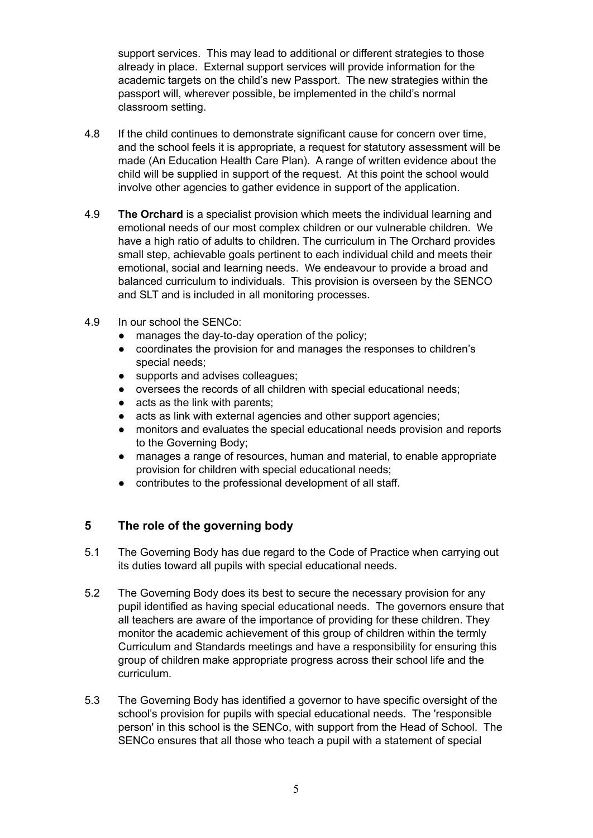support services. This may lead to additional or different strategies to those already in place. External support services will provide information for the academic targets on the child's new Passport. The new strategies within the passport will, wherever possible, be implemented in the child's normal classroom setting.

- 4.8 If the child continues to demonstrate significant cause for concern over time, and the school feels it is appropriate, a request for statutory assessment will be made (An Education Health Care Plan). A range of written evidence about the child will be supplied in support of the request. At this point the school would involve other agencies to gather evidence in support of the application.
- 4.9 **The Orchard** is a specialist provision which meets the individual learning and emotional needs of our most complex children or our vulnerable children. We have a high ratio of adults to children. The curriculum in The Orchard provides small step, achievable goals pertinent to each individual child and meets their emotional, social and learning needs. We endeavour to provide a broad and balanced curriculum to individuals. This provision is overseen by the SENCO and SLT and is included in all monitoring processes.
- 4.9 In our school the SENCo:
	- manages the day-to-day operation of the policy;
	- coordinates the provision for and manages the responses to children's special needs;
	- supports and advises colleagues;
	- oversees the records of all children with special educational needs;
	- acts as the link with parents;
	- acts as link with external agencies and other support agencies;
	- monitors and evaluates the special educational needs provision and reports to the Governing Body;
	- manages a range of resources, human and material, to enable appropriate provision for children with special educational needs;
	- contributes to the professional development of all staff.

#### **5 The role of the governing body**

- 5.1 The Governing Body has due regard to the Code of Practice when carrying out its duties toward all pupils with special educational needs.
- 5.2 The Governing Body does its best to secure the necessary provision for any pupil identified as having special educational needs. The governors ensure that all teachers are aware of the importance of providing for these children. They monitor the academic achievement of this group of children within the termly Curriculum and Standards meetings and have a responsibility for ensuring this group of children make appropriate progress across their school life and the curriculum.
- 5.3 The Governing Body has identified a governor to have specific oversight of the school's provision for pupils with special educational needs. The 'responsible person' in this school is the SENCo, with support from the Head of School. The SENCo ensures that all those who teach a pupil with a statement of special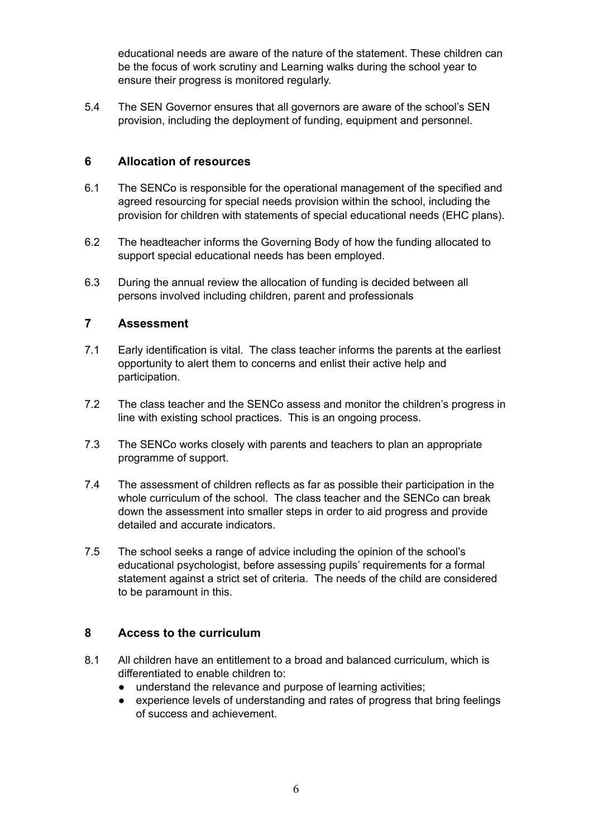educational needs are aware of the nature of the statement. These children can be the focus of work scrutiny and Learning walks during the school year to ensure their progress is monitored regularly.

5.4 The SEN Governor ensures that all governors are aware of the school's SEN provision, including the deployment of funding, equipment and personnel.

#### **6 Allocation of resources**

- 6.1 The SENCo is responsible for the operational management of the specified and agreed resourcing for special needs provision within the school, including the provision for children with statements of special educational needs (EHC plans).
- 6.2 The headteacher informs the Governing Body of how the funding allocated to support special educational needs has been employed.
- 6.3 During the annual review the allocation of funding is decided between all persons involved including children, parent and professionals

#### **7 Assessment**

- 7.1 Early identification is vital. The class teacher informs the parents at the earliest opportunity to alert them to concerns and enlist their active help and participation.
- 7.2 The class teacher and the SENCo assess and monitor the children's progress in line with existing school practices. This is an ongoing process.
- 7.3 The SENCo works closely with parents and teachers to plan an appropriate programme of support.
- 7.4 The assessment of children reflects as far as possible their participation in the whole curriculum of the school. The class teacher and the SENCo can break down the assessment into smaller steps in order to aid progress and provide detailed and accurate indicators.
- 7.5 The school seeks a range of advice including the opinion of the school's educational psychologist, before assessing pupils' requirements for a formal statement against a strict set of criteria. The needs of the child are considered to be paramount in this.

#### **8 Access to the curriculum**

- 8.1 All children have an entitlement to a broad and balanced curriculum, which is differentiated to enable children to:
	- understand the relevance and purpose of learning activities;
	- experience levels of understanding and rates of progress that bring feelings of success and achievement.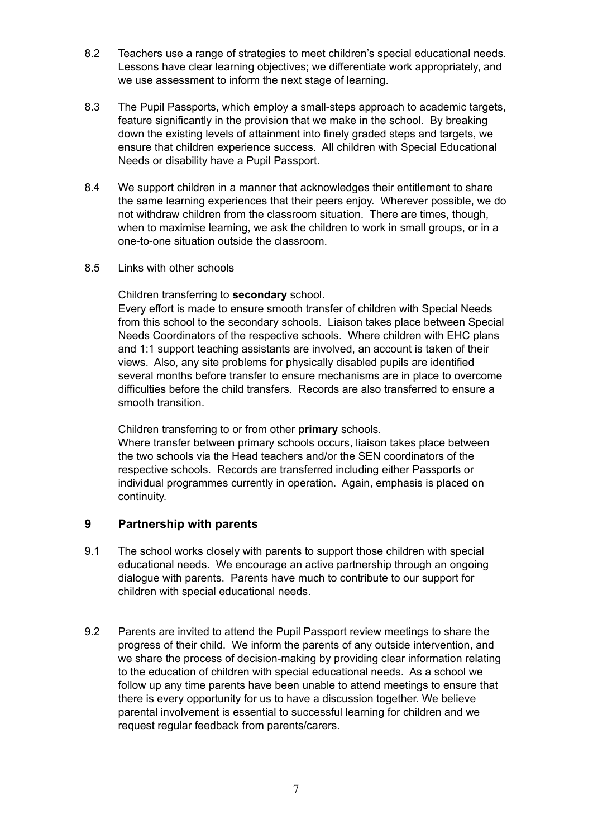- 8.2 Teachers use a range of strategies to meet children's special educational needs. Lessons have clear learning objectives; we differentiate work appropriately, and we use assessment to inform the next stage of learning.
- 8.3 The Pupil Passports, which employ a small-steps approach to academic targets, feature significantly in the provision that we make in the school. By breaking down the existing levels of attainment into finely graded steps and targets, we ensure that children experience success. All children with Special Educational Needs or disability have a Pupil Passport.
- 8.4 We support children in a manner that acknowledges their entitlement to share the same learning experiences that their peers enjoy. Wherever possible, we do not withdraw children from the classroom situation. There are times, though, when to maximise learning, we ask the children to work in small groups, or in a one-to-one situation outside the classroom.
- 8.5 Links with other schools

Children transferring to **secondary** school.

Every effort is made to ensure smooth transfer of children with Special Needs from this school to the secondary schools. Liaison takes place between Special Needs Coordinators of the respective schools. Where children with EHC plans and 1:1 support teaching assistants are involved, an account is taken of their views. Also, any site problems for physically disabled pupils are identified several months before transfer to ensure mechanisms are in place to overcome difficulties before the child transfers. Records are also transferred to ensure a smooth transition.

Children transferring to or from other **primary** schools.

Where transfer between primary schools occurs, liaison takes place between the two schools via the Head teachers and/or the SEN coordinators of the respective schools. Records are transferred including either Passports or individual programmes currently in operation. Again, emphasis is placed on continuity.

#### **9 Partnership with parents**

- 9.1 The school works closely with parents to support those children with special educational needs. We encourage an active partnership through an ongoing dialogue with parents. Parents have much to contribute to our support for children with special educational needs.
- 9.2 Parents are invited to attend the Pupil Passport review meetings to share the progress of their child. We inform the parents of any outside intervention, and we share the process of decision-making by providing clear information relating to the education of children with special educational needs. As a school we follow up any time parents have been unable to attend meetings to ensure that there is every opportunity for us to have a discussion together. We believe parental involvement is essential to successful learning for children and we request regular feedback from parents/carers.